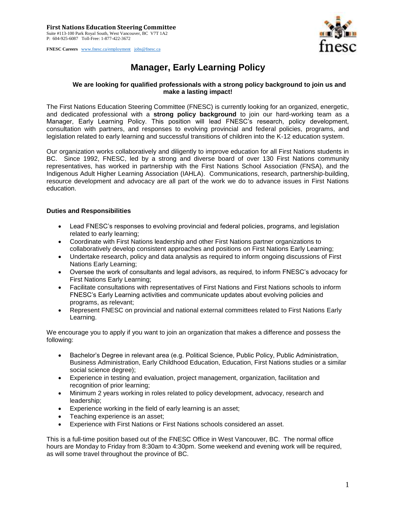**FNESC Careers** [www.fnesc.ca/employment](http://www.fnesc.ca/employment) [jobs@fnesc.ca](mailto:jobs@fnesc.ca) 



## **Manager, Early Learning Policy**

## **We are looking for qualified professionals with a strong policy background to join us and make a lasting impact!**

The First Nations Education Steering Committee (FNESC) is currently looking for an organized, energetic, and dedicated professional with a **strong policy background** to join our hard-working team as a Manager, Early Learning Policy. This position will lead FNESC's research, policy development, consultation with partners, and responses to evolving provincial and federal policies, programs, and legislation related to early learning and successful transitions of children into the K-12 education system.

Our organization works collaboratively and diligently to improve education for all First Nations students in BC. Since 1992, FNESC, led by a strong and diverse board of over 130 First Nations community representatives, has worked in partnership with the First Nations School Association (FNSA), and the Indigenous Adult Higher Learning Association (IAHLA). Communications, research, partnership-building, resource development and advocacy are all part of the work we do to advance issues in First Nations education.

## **Duties and Responsibilities**

- Lead FNESC's responses to evolving provincial and federal policies, programs, and legislation related to early learning;
- Coordinate with First Nations leadership and other First Nations partner organizations to collaboratively develop consistent approaches and positions on First Nations Early Learning;
- Undertake research, policy and data analysis as required to inform ongoing discussions of First Nations Early Learning;
- Oversee the work of consultants and legal advisors, as required, to inform FNESC's advocacy for First Nations Early Learning;
- Facilitate consultations with representatives of First Nations and First Nations schools to inform FNESC's Early Learning activities and communicate updates about evolving policies and programs, as relevant;
- Represent FNESC on provincial and national external committees related to First Nations Early Learning.

We encourage you to apply if you want to join an organization that makes a difference and possess the following:

- Bachelor's Degree in relevant area (e.g. Political Science, Public Policy, Public Administration, Business Administration, Early Childhood Education, Education, First Nations studies or a similar social science degree);
- Experience in testing and evaluation, project management, organization, facilitation and recognition of prior learning;
- Minimum 2 years working in roles related to policy development, advocacy, research and leadership;
- Experience working in the field of early learning is an asset;
- Teaching experience is an asset;
- Experience with First Nations or First Nations schools considered an asset.

This is a full-time position based out of the FNESC Office in West Vancouver, BC. The normal office hours are Monday to Friday from 8:30am to 4:30pm. Some weekend and evening work will be required, as will some travel throughout the province of BC.